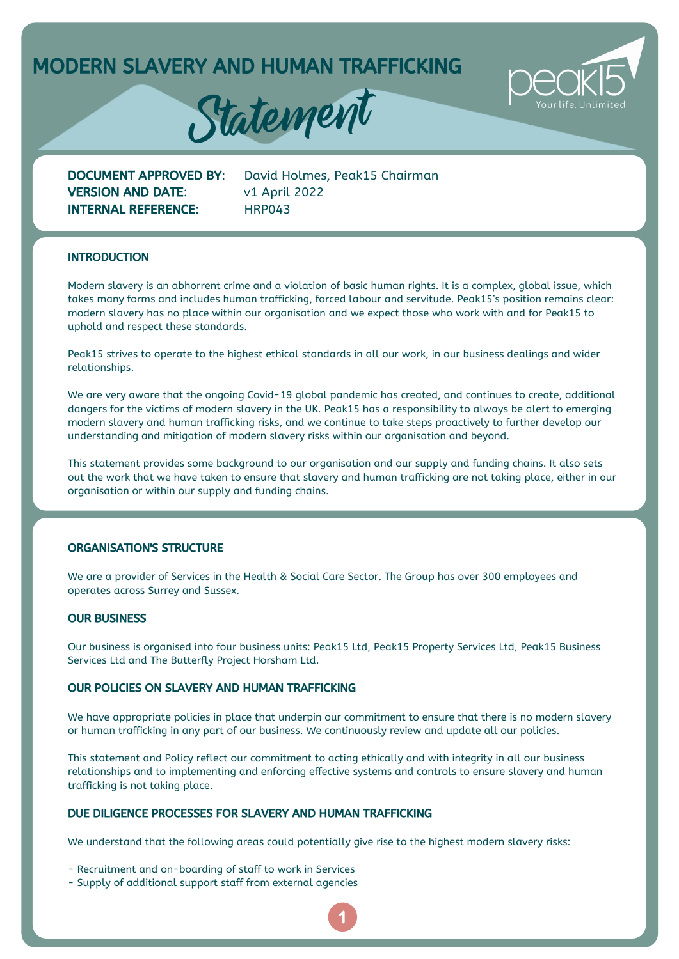MODERN SLAVERY AND HUMAN TRAFFICKING





VERSION AND DATE: v1 April 2022 INTERNAL REFERENCE: HRP043

DOCUMENT APPROVED BY: David Holmes, Peak15 Chairman

## **INTRODUCTION**

Modern slavery is an abhorrent crime and a violation of basic human rights. It is a complex, global issue, which takes many forms and includes human trafficking, forced labour and servitude. Peak15's position remains clear: modern slavery has no place within our organisation and we expect those who work with and for Peak15 to uphold and respect these standards.

Peak15 strives to operate to the highest ethical standards in all our work, in our business dealings and wider relationships.

We are very aware that the ongoing Covid-19 global pandemic has created, and continues to create, additional dangers for the victims of modern slavery in the UK. Peak15 has a responsibility to always be alert to emerging modern slavery and human trafficking risks, and we continue to take steps proactively to further develop our understanding and mitigation of modern slavery risks within our organisation and beyond.

This statement provides some background to our organisation and our supply and funding chains. It also sets out the work that we have taken to ensure that slavery and human trafficking are not taking place, either in our organisation or within our supply and funding chains.

## ORGANISATION'S STRUCTURE

We are a provider of Services in the Health & Social Care Sector. The Group has over 300 employees and operates across Surrey and Sussex.

## OUR BUSINESS

Our business is organised into four business units: Peak15 Ltd, Peak15 Property Services Ltd, Peak15 Business Services Ltd and The Butterfly Project Horsham Ltd.

#### OUR POLICIES ON SLAVERY AND HUMAN TRAFFICKING

We have appropriate policies in place that underpin our commitment to ensure that there is no modern slavery or human trafficking in any part of our business. We continuously review and update all our policies.

This statement and Policy reflect our commitment to acting ethically and with integrity in all our business relationships and to implementing and enforcing effective systems and controls to ensure slavery and human trafficking is not taking place.

## DUE DILIGENCE PROCESSES FOR SLAVERY AND HUMAN TRAFFICKING

We understand that the following areas could potentially give rise to the highest modern slavery risks:

- Recruitment and on-boarding of staff to work in Services
- Supply of additional support staff from external agencies